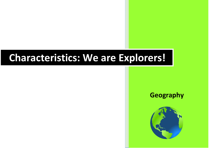## **Characteristics: We are Explorers!**



## **Geography**